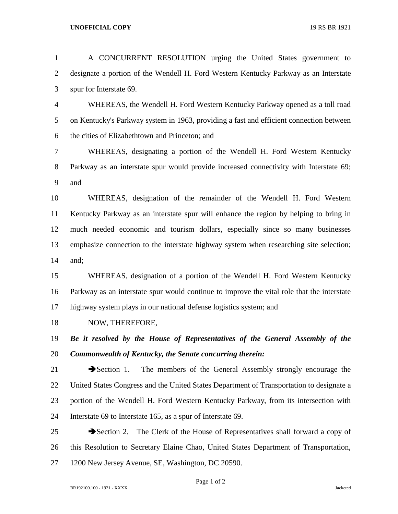## **UNOFFICIAL COPY** 19 RS BR 1921

| $\mathbf{1}$   | A CONCURRENT RESOLUTION urging the United States government to                                |
|----------------|-----------------------------------------------------------------------------------------------|
| $\overline{2}$ | designate a portion of the Wendell H. Ford Western Kentucky Parkway as an Interstate          |
| 3              | spur for Interstate 69.                                                                       |
| $\overline{4}$ | WHEREAS, the Wendell H. Ford Western Kentucky Parkway opened as a toll road                   |
| 5              | on Kentucky's Parkway system in 1963, providing a fast and efficient connection between       |
| 6              | the cities of Elizabethtown and Princeton; and                                                |
| 7              | WHEREAS, designating a portion of the Wendell H. Ford Western Kentucky                        |
| 8              | Parkway as an interstate spur would provide increased connectivity with Interstate 69;        |
| 9              | and                                                                                           |
| 10             | WHEREAS, designation of the remainder of the Wendell H. Ford Western                          |
| 11             | Kentucky Parkway as an interstate spur will enhance the region by helping to bring in         |
| 12             | much needed economic and tourism dollars, especially since so many businesses                 |
| 13             | emphasize connection to the interstate highway system when researching site selection;        |
| 14             | and;                                                                                          |
| 15             | WHEREAS, designation of a portion of the Wendell H. Ford Western Kentucky                     |
| 16             | Parkway as an interstate spur would continue to improve the vital role that the interstate    |
| 17             | highway system plays in our national defense logistics system; and                            |
| 18             | NOW, THEREFORE,                                                                               |
| 19             | Be it resolved by the House of Representatives of the General Assembly of the                 |
| 20             | Commonwealth of Kentucky, the Senate concurring therein:                                      |
| 21             | $\rightarrow$ Section 1.<br>The members of the General Assembly strongly encourage the        |
| 22             | United States Congress and the United States Department of Transportation to designate a      |
| 23             | portion of the Wendell H. Ford Western Kentucky Parkway, from its intersection with           |
| 24             | Interstate 69 to Interstate 165, as a spur of Interstate 69.                                  |
| 25             | The Clerk of the House of Representatives shall forward a copy of<br>$\rightarrow$ Section 2. |
| 26             | this Resolution to Secretary Elaine Chao, United States Department of Transportation,         |
| 27             | 1200 New Jersey Avenue, SE, Washington, DC 20590.                                             |

Page 1 of 2